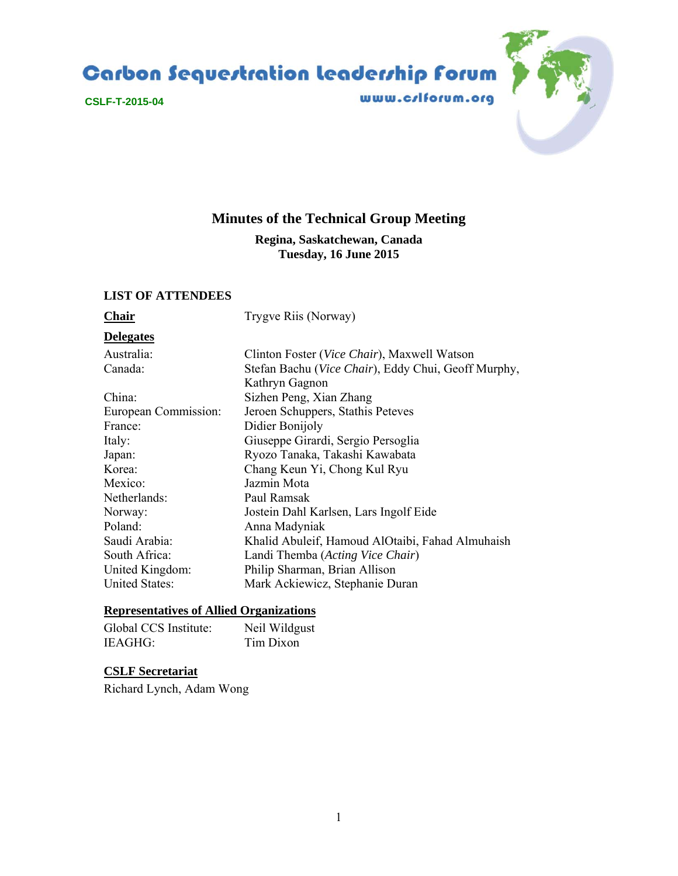Carbon Sequestration leadership forum



www.crlforum.org



# **Minutes of the Technical Group Meeting**

**Regina, Saskatchewan, Canada Tuesday, 16 June 2015** 

### **LIST OF ATTENDEES**

**Chair** Trygve Riis (Norway)

# **Delegates**

Australia: Clinton Foster (*Vice Chair*), Maxwell Watson

| Canada:               | Stefan Bachu (Vice Chair), Eddy Chui, Geoff Murphy, |
|-----------------------|-----------------------------------------------------|
|                       | Kathryn Gagnon                                      |
| China:                | Sizhen Peng, Xian Zhang                             |
| European Commission:  | Jeroen Schuppers, Stathis Peteves                   |
| France:               | Didier Bonijoly                                     |
| Italy:                | Giuseppe Girardi, Sergio Persoglia                  |
| Japan:                | Ryozo Tanaka, Takashi Kawabata                      |
| Korea:                | Chang Keun Yi, Chong Kul Ryu                        |
| Mexico:               | Jazmin Mota                                         |
| Netherlands:          | Paul Ramsak                                         |
| Norway:               | Jostein Dahl Karlsen, Lars Ingolf Eide              |
| Poland:               | Anna Madyniak                                       |
| Saudi Arabia:         | Khalid Abuleif, Hamoud AlOtaibi, Fahad Almuhaish    |
| South Africa:         | Landi Themba (Acting Vice Chair)                    |
| United Kingdom:       | Philip Sharman, Brian Allison                       |
| <b>United States:</b> | Mark Ackiewicz, Stephanie Duran                     |
|                       |                                                     |

### **Representatives of Allied Organizations**

| Global CCS Institute: | Neil Wildgust |
|-----------------------|---------------|
| IEAGHG:               | Tim Dixon     |

### **CSLF Secretariat**

Richard Lynch, Adam Wong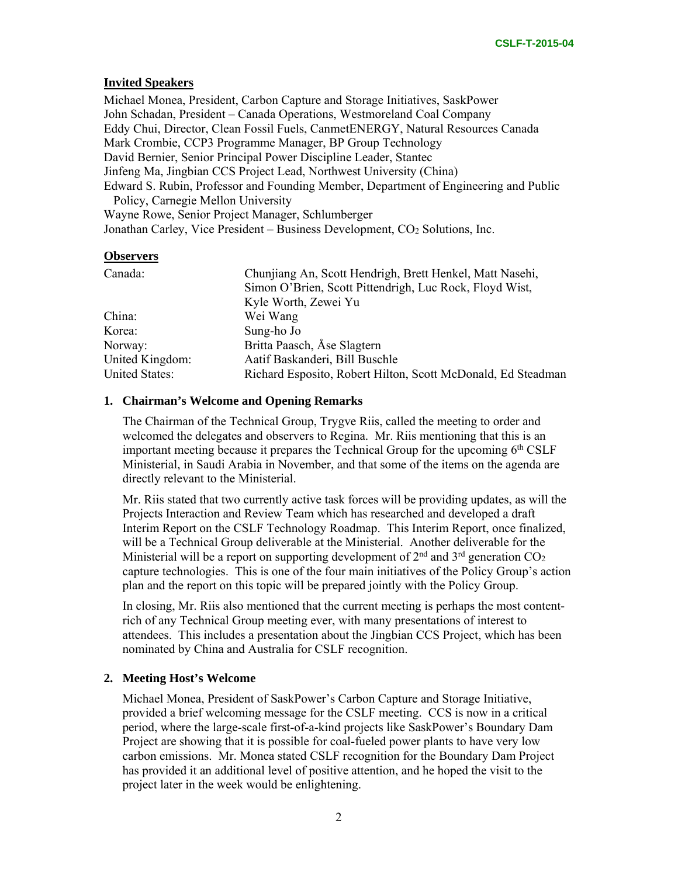# **Invited Speakers**

Michael Monea, President, Carbon Capture and Storage Initiatives, SaskPower John Schadan, President – Canada Operations, Westmoreland Coal Company Eddy Chui, Director, Clean Fossil Fuels, CanmetENERGY, Natural Resources Canada Mark Crombie, CCP3 Programme Manager, BP Group Technology David Bernier, Senior Principal Power Discipline Leader, Stantec Jinfeng Ma, Jingbian CCS Project Lead, Northwest University (China) Edward S. Rubin, Professor and Founding Member, Department of Engineering and Public Policy, Carnegie Mellon University Wayne Rowe, Senior Project Manager, Schlumberger Jonathan Carley, Vice President – Business Development, CO<sub>2</sub> Solutions, Inc.

### **Observers**

| Canada:               | Chunjiang An, Scott Hendrigh, Brett Henkel, Matt Nasehi,     |
|-----------------------|--------------------------------------------------------------|
|                       | Simon O'Brien, Scott Pittendrigh, Luc Rock, Floyd Wist,      |
|                       | Kyle Worth, Zewei Yu                                         |
| China:                | Wei Wang                                                     |
| Korea:                | Sung-ho Jo                                                   |
| Norway:               | Britta Paasch, Åse Slagtern                                  |
| United Kingdom:       | Aatif Baskanderi, Bill Buschle                               |
| <b>United States:</b> | Richard Esposito, Robert Hilton, Scott McDonald, Ed Steadman |

### **1. Chairman's Welcome and Opening Remarks**

The Chairman of the Technical Group, Trygve Riis, called the meeting to order and welcomed the delegates and observers to Regina. Mr. Riis mentioning that this is an important meeting because it prepares the Technical Group for the upcoming 6<sup>th</sup> CSLF Ministerial, in Saudi Arabia in November, and that some of the items on the agenda are directly relevant to the Ministerial.

Mr. Riis stated that two currently active task forces will be providing updates, as will the Projects Interaction and Review Team which has researched and developed a draft Interim Report on the CSLF Technology Roadmap. This Interim Report, once finalized, will be a Technical Group deliverable at the Ministerial. Another deliverable for the Ministerial will be a report on supporting development of  $2<sup>nd</sup>$  and  $3<sup>rd</sup>$  generation  $CO<sub>2</sub>$ capture technologies. This is one of the four main initiatives of the Policy Group's action plan and the report on this topic will be prepared jointly with the Policy Group.

In closing, Mr. Riis also mentioned that the current meeting is perhaps the most contentrich of any Technical Group meeting ever, with many presentations of interest to attendees. This includes a presentation about the Jingbian CCS Project, which has been nominated by China and Australia for CSLF recognition.

# **2. Meeting Host's Welcome**

Michael Monea, President of SaskPower's Carbon Capture and Storage Initiative, provided a brief welcoming message for the CSLF meeting. CCS is now in a critical period, where the large-scale first-of-a-kind projects like SaskPower's Boundary Dam Project are showing that it is possible for coal-fueled power plants to have very low carbon emissions. Mr. Monea stated CSLF recognition for the Boundary Dam Project has provided it an additional level of positive attention, and he hoped the visit to the project later in the week would be enlightening.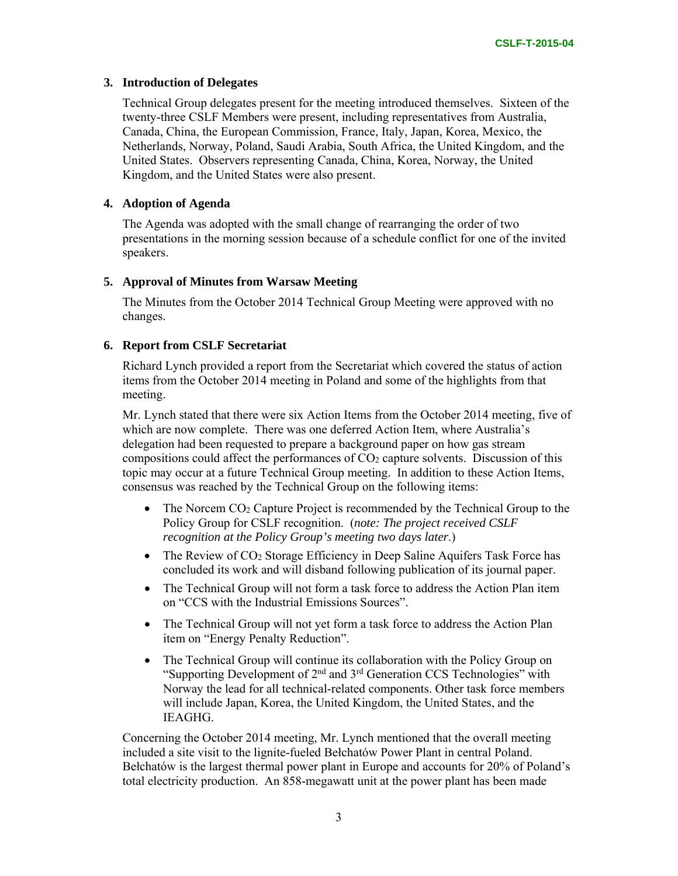### **3. Introduction of Delegates**

Technical Group delegates present for the meeting introduced themselves. Sixteen of the twenty-three CSLF Members were present, including representatives from Australia, Canada, China, the European Commission, France, Italy, Japan, Korea, Mexico, the Netherlands, Norway, Poland, Saudi Arabia, South Africa, the United Kingdom, and the United States. Observers representing Canada, China, Korea, Norway, the United Kingdom, and the United States were also present.

### **4. Adoption of Agenda**

The Agenda was adopted with the small change of rearranging the order of two presentations in the morning session because of a schedule conflict for one of the invited speakers.

### **5. Approval of Minutes from Warsaw Meeting**

The Minutes from the October 2014 Technical Group Meeting were approved with no changes.

### **6. Report from CSLF Secretariat**

Richard Lynch provided a report from the Secretariat which covered the status of action items from the October 2014 meeting in Poland and some of the highlights from that meeting.

Mr. Lynch stated that there were six Action Items from the October 2014 meeting, five of which are now complete. There was one deferred Action Item, where Australia's delegation had been requested to prepare a background paper on how gas stream compositions could affect the performances of CO2 capture solvents. Discussion of this topic may occur at a future Technical Group meeting. In addition to these Action Items, consensus was reached by the Technical Group on the following items:

- The Norcem CO<sub>2</sub> Capture Project is recommended by the Technical Group to the Policy Group for CSLF recognition. (*note: The project received CSLF recognition at the Policy Group's meeting two days later*.)
- The Review of  $CO<sub>2</sub>$  Storage Efficiency in Deep Saline Aquifers Task Force has concluded its work and will disband following publication of its journal paper.
- The Technical Group will not form a task force to address the Action Plan item on "CCS with the Industrial Emissions Sources".
- The Technical Group will not yet form a task force to address the Action Plan item on "Energy Penalty Reduction".
- The Technical Group will continue its collaboration with the Policy Group on "Supporting Development of 2nd and 3rd Generation CCS Technologies" with Norway the lead for all technical-related components. Other task force members will include Japan, Korea, the United Kingdom, the United States, and the IEAGHG.

Concerning the October 2014 meeting, Mr. Lynch mentioned that the overall meeting included a site visit to the lignite-fueled Bełchatów Power Plant in central Poland. Bełchatów is the largest thermal power plant in Europe and accounts for 20% of Poland's total electricity production. An 858-megawatt unit at the power plant has been made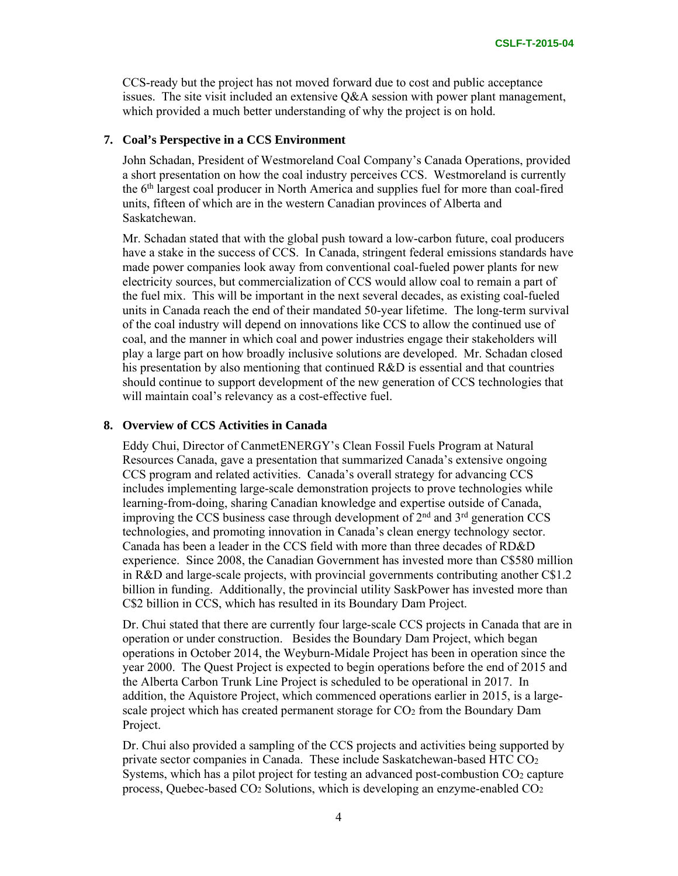CCS-ready but the project has not moved forward due to cost and public acceptance issues. The site visit included an extensive Q&A session with power plant management, which provided a much better understanding of why the project is on hold.

### **7. Coal's Perspective in a CCS Environment**

John Schadan, President of Westmoreland Coal Company's Canada Operations, provided a short presentation on how the coal industry perceives CCS. Westmoreland is currently the 6th largest coal producer in North America and supplies fuel for more than coal-fired units, fifteen of which are in the western Canadian provinces of Alberta and Saskatchewan.

Mr. Schadan stated that with the global push toward a low-carbon future, coal producers have a stake in the success of CCS. In Canada, stringent federal emissions standards have made power companies look away from conventional coal-fueled power plants for new electricity sources, but commercialization of CCS would allow coal to remain a part of the fuel mix. This will be important in the next several decades, as existing coal-fueled units in Canada reach the end of their mandated 50-year lifetime. The long-term survival of the coal industry will depend on innovations like CCS to allow the continued use of coal, and the manner in which coal and power industries engage their stakeholders will play a large part on how broadly inclusive solutions are developed. Mr. Schadan closed his presentation by also mentioning that continued R&D is essential and that countries should continue to support development of the new generation of CCS technologies that will maintain coal's relevancy as a cost-effective fuel.

### **8. Overview of CCS Activities in Canada**

Eddy Chui, Director of CanmetENERGY's Clean Fossil Fuels Program at Natural Resources Canada, gave a presentation that summarized Canada's extensive ongoing CCS program and related activities. Canada's overall strategy for advancing CCS includes implementing large-scale demonstration projects to prove technologies while learning-from-doing, sharing Canadian knowledge and expertise outside of Canada, improving the CCS business case through development of  $2<sup>nd</sup>$  and  $3<sup>rd</sup>$  generation CCS technologies, and promoting innovation in Canada's clean energy technology sector. Canada has been a leader in the CCS field with more than three decades of RD&D experience. Since 2008, the Canadian Government has invested more than C\$580 million in R&D and large-scale projects, with provincial governments contributing another C\$1.2 billion in funding. Additionally, the provincial utility SaskPower has invested more than C\$2 billion in CCS, which has resulted in its Boundary Dam Project.

Dr. Chui stated that there are currently four large-scale CCS projects in Canada that are in operation or under construction. Besides the Boundary Dam Project, which began operations in October 2014, the Weyburn-Midale Project has been in operation since the year 2000. The Quest Project is expected to begin operations before the end of 2015 and the Alberta Carbon Trunk Line Project is scheduled to be operational in 2017. In addition, the Aquistore Project, which commenced operations earlier in 2015, is a largescale project which has created permanent storage for CO2 from the Boundary Dam Project.

Dr. Chui also provided a sampling of the CCS projects and activities being supported by private sector companies in Canada. These include Saskatchewan-based HTC CO2 Systems, which has a pilot project for testing an advanced post-combustion CO2 capture process, Quebec-based CO2 Solutions, which is developing an enzyme-enabled CO2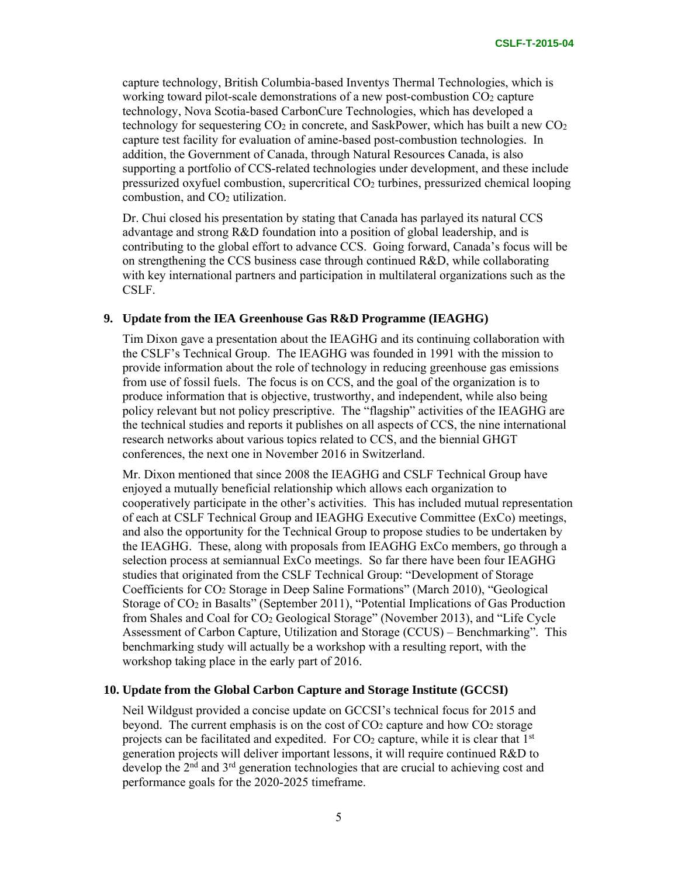capture technology, British Columbia-based Inventys Thermal Technologies, which is working toward pilot-scale demonstrations of a new post-combustion CO<sub>2</sub> capture technology, Nova Scotia-based CarbonCure Technologies, which has developed a technology for sequestering  $CO<sub>2</sub>$  in concrete, and SaskPower, which has built a new  $CO<sub>2</sub>$ capture test facility for evaluation of amine-based post-combustion technologies. In addition, the Government of Canada, through Natural Resources Canada, is also supporting a portfolio of CCS-related technologies under development, and these include pressurized oxyfuel combustion, supercritical CO2 turbines, pressurized chemical looping combustion, and CO2 utilization.

Dr. Chui closed his presentation by stating that Canada has parlayed its natural CCS advantage and strong R&D foundation into a position of global leadership, and is contributing to the global effort to advance CCS. Going forward, Canada's focus will be on strengthening the CCS business case through continued  $R&D$ , while collaborating with key international partners and participation in multilateral organizations such as the CSLF.

### **9. Update from the IEA Greenhouse Gas R&D Programme (IEAGHG)**

Tim Dixon gave a presentation about the IEAGHG and its continuing collaboration with the CSLF's Technical Group. The IEAGHG was founded in 1991 with the mission to provide information about the role of technology in reducing greenhouse gas emissions from use of fossil fuels. The focus is on CCS, and the goal of the organization is to produce information that is objective, trustworthy, and independent, while also being policy relevant but not policy prescriptive. The "flagship" activities of the IEAGHG are the technical studies and reports it publishes on all aspects of CCS, the nine international research networks about various topics related to CCS, and the biennial GHGT conferences, the next one in November 2016 in Switzerland.

Mr. Dixon mentioned that since 2008 the IEAGHG and CSLF Technical Group have enjoyed a mutually beneficial relationship which allows each organization to cooperatively participate in the other's activities. This has included mutual representation of each at CSLF Technical Group and IEAGHG Executive Committee (ExCo) meetings, and also the opportunity for the Technical Group to propose studies to be undertaken by the IEAGHG. These, along with proposals from IEAGHG ExCo members, go through a selection process at semiannual ExCo meetings. So far there have been four IEAGHG studies that originated from the CSLF Technical Group: "Development of Storage Coefficients for CO2 Storage in Deep Saline Formations" (March 2010), "Geological Storage of CO2 in Basalts" (September 2011), "Potential Implications of Gas Production from Shales and Coal for CO2 Geological Storage" (November 2013), and "Life Cycle Assessment of Carbon Capture, Utilization and Storage (CCUS) – Benchmarking". This benchmarking study will actually be a workshop with a resulting report, with the workshop taking place in the early part of 2016.

### **10. Update from the Global Carbon Capture and Storage Institute (GCCSI)**

Neil Wildgust provided a concise update on GCCSI's technical focus for 2015 and beyond. The current emphasis is on the cost of  $CO<sub>2</sub>$  capture and how  $CO<sub>2</sub>$  storage projects can be facilitated and expedited. For  $CO<sub>2</sub>$  capture, while it is clear that  $1<sup>st</sup>$ generation projects will deliver important lessons, it will require continued R&D to develop the  $2<sup>nd</sup>$  and  $3<sup>rd</sup>$  generation technologies that are crucial to achieving cost and performance goals for the 2020-2025 timeframe.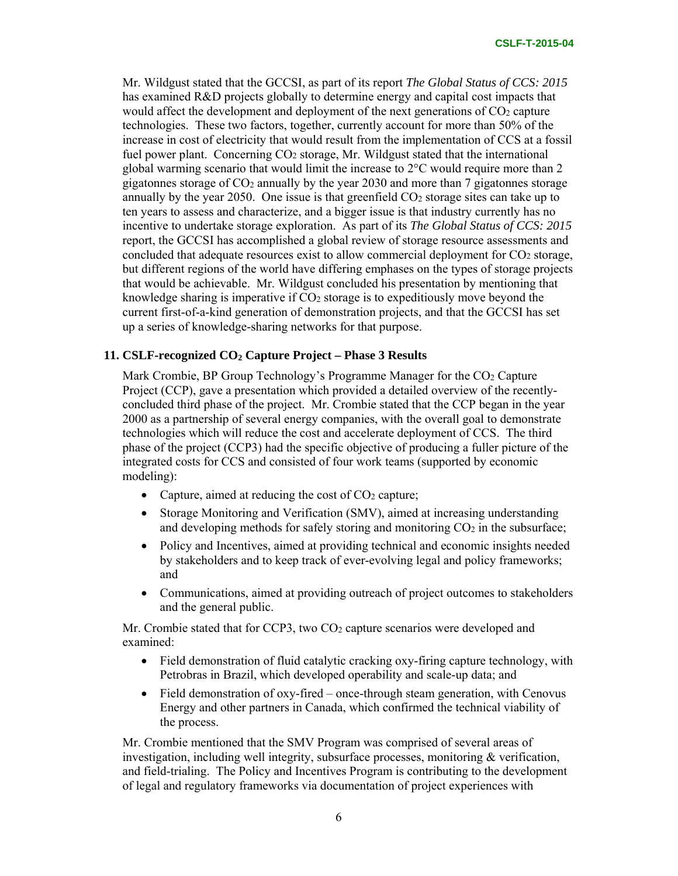Mr. Wildgust stated that the GCCSI, as part of its report *The Global Status of CCS: 2015* has examined R&D projects globally to determine energy and capital cost impacts that would affect the development and deployment of the next generations of CO<sub>2</sub> capture technologies. These two factors, together, currently account for more than 50% of the increase in cost of electricity that would result from the implementation of CCS at a fossil fuel power plant. Concerning CO2 storage, Mr. Wildgust stated that the international global warming scenario that would limit the increase to  $2^{\circ}$ C would require more than 2 gigatonnes storage of  $CO<sub>2</sub>$  annually by the year 2030 and more than 7 gigatonnes storage annually by the year 2050. One issue is that greenfield  $CO<sub>2</sub>$  storage sites can take up to ten years to assess and characterize, and a bigger issue is that industry currently has no incentive to undertake storage exploration. As part of its *The Global Status of CCS: 2015*  report, the GCCSI has accomplished a global review of storage resource assessments and concluded that adequate resources exist to allow commercial deployment for CO<sub>2</sub> storage, but different regions of the world have differing emphases on the types of storage projects that would be achievable. Mr. Wildgust concluded his presentation by mentioning that knowledge sharing is imperative if  $CO<sub>2</sub>$  storage is to expeditiously move beyond the current first-of-a-kind generation of demonstration projects, and that the GCCSI has set up a series of knowledge-sharing networks for that purpose.

### **11. CSLF-recognized CO2 Capture Project – Phase 3 Results**

Mark Crombie, BP Group Technology's Programme Manager for the CO2 Capture Project (CCP), gave a presentation which provided a detailed overview of the recentlyconcluded third phase of the project. Mr. Crombie stated that the CCP began in the year 2000 as a partnership of several energy companies, with the overall goal to demonstrate technologies which will reduce the cost and accelerate deployment of CCS. The third phase of the project (CCP3) had the specific objective of producing a fuller picture of the integrated costs for CCS and consisted of four work teams (supported by economic modeling):

- Capture, aimed at reducing the cost of  $CO<sub>2</sub>$  capture;
- Storage Monitoring and Verification (SMV), aimed at increasing understanding and developing methods for safely storing and monitoring  $CO<sub>2</sub>$  in the subsurface;
- Policy and Incentives, aimed at providing technical and economic insights needed by stakeholders and to keep track of ever-evolving legal and policy frameworks; and
- Communications, aimed at providing outreach of project outcomes to stakeholders and the general public.

Mr. Crombie stated that for CCP3, two CO<sub>2</sub> capture scenarios were developed and examined:

- Field demonstration of fluid catalytic cracking oxy-firing capture technology, with Petrobras in Brazil, which developed operability and scale-up data; and
- Field demonstration of oxy-fired once-through steam generation, with Cenovus Energy and other partners in Canada, which confirmed the technical viability of the process.

Mr. Crombie mentioned that the SMV Program was comprised of several areas of investigation, including well integrity, subsurface processes, monitoring & verification, and field-trialing. The Policy and Incentives Program is contributing to the development of legal and regulatory frameworks via documentation of project experiences with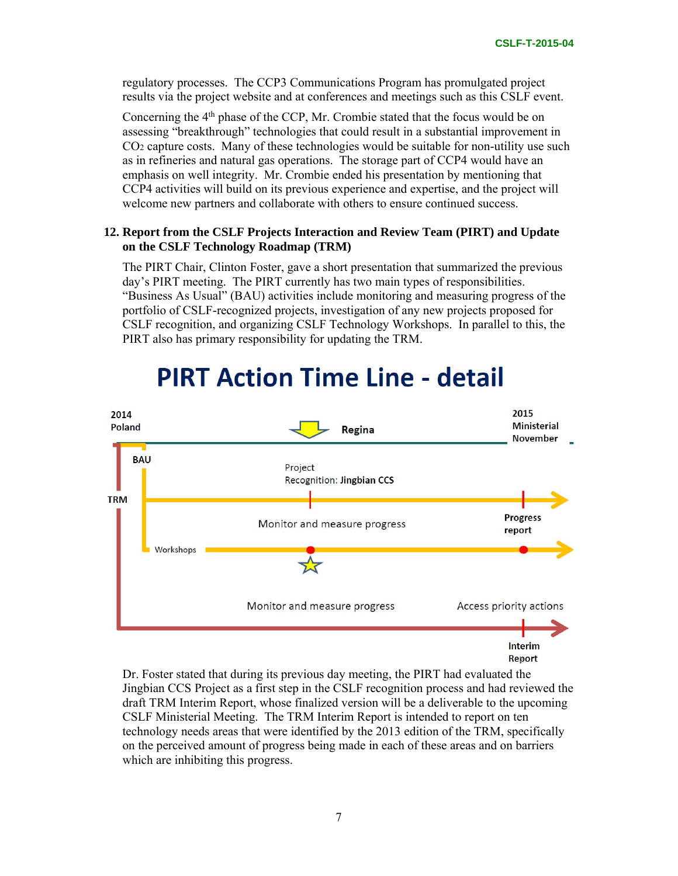regulatory processes. The CCP3 Communications Program has promulgated project results via the project website and at conferences and meetings such as this CSLF event.

Concerning the  $4<sup>th</sup>$  phase of the CCP, Mr. Crombie stated that the focus would be on assessing "breakthrough" technologies that could result in a substantial improvement in CO2 capture costs. Many of these technologies would be suitable for non-utility use such as in refineries and natural gas operations. The storage part of CCP4 would have an emphasis on well integrity. Mr. Crombie ended his presentation by mentioning that CCP4 activities will build on its previous experience and expertise, and the project will welcome new partners and collaborate with others to ensure continued success.

# **12. Report from the CSLF Projects Interaction and Review Team (PIRT) and Update on the CSLF Technology Roadmap (TRM)**

The PIRT Chair, Clinton Foster, gave a short presentation that summarized the previous day's PIRT meeting. The PIRT currently has two main types of responsibilities. "Business As Usual" (BAU) activities include monitoring and measuring progress of the portfolio of CSLF-recognized projects, investigation of any new projects proposed for CSLF recognition, and organizing CSLF Technology Workshops. In parallel to this, the PIRT also has primary responsibility for updating the TRM.



# **PIRT Action Time Line - detail**

Dr. Foster stated that during its previous day meeting, the PIRT had evaluated the Jingbian CCS Project as a first step in the CSLF recognition process and had reviewed the draft TRM Interim Report, whose finalized version will be a deliverable to the upcoming CSLF Ministerial Meeting. The TRM Interim Report is intended to report on ten technology needs areas that were identified by the 2013 edition of the TRM, specifically on the perceived amount of progress being made in each of these areas and on barriers which are inhibiting this progress.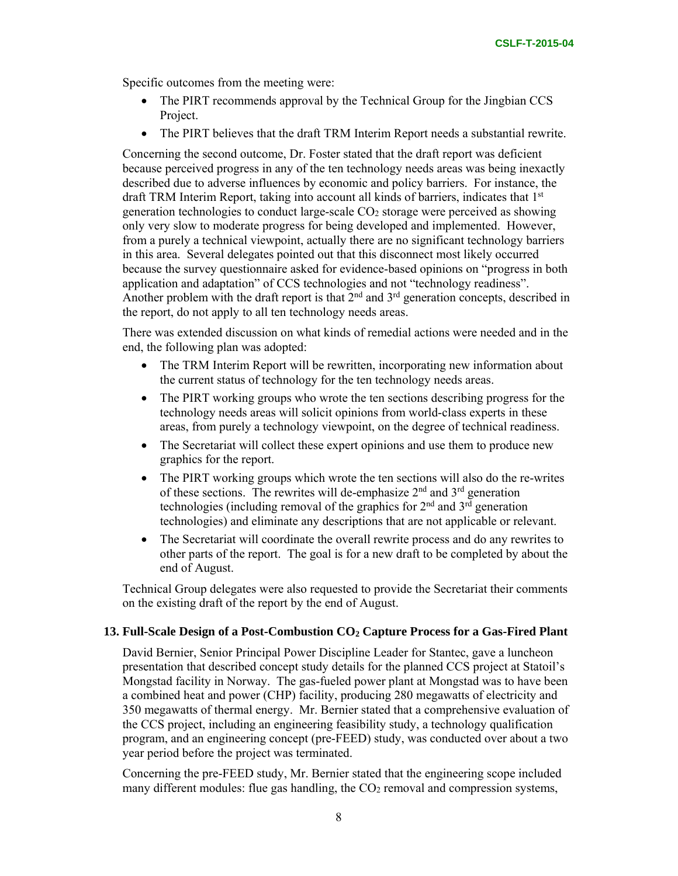Specific outcomes from the meeting were:

- The PIRT recommends approval by the Technical Group for the Jingbian CCS Project.
- The PIRT believes that the draft TRM Interim Report needs a substantial rewrite.

Concerning the second outcome, Dr. Foster stated that the draft report was deficient because perceived progress in any of the ten technology needs areas was being inexactly described due to adverse influences by economic and policy barriers. For instance, the draft TRM Interim Report, taking into account all kinds of barriers, indicates that  $1<sup>st</sup>$ generation technologies to conduct large-scale CO2 storage were perceived as showing only very slow to moderate progress for being developed and implemented. However, from a purely a technical viewpoint, actually there are no significant technology barriers in this area. Several delegates pointed out that this disconnect most likely occurred because the survey questionnaire asked for evidence-based opinions on "progress in both application and adaptation" of CCS technologies and not "technology readiness". Another problem with the draft report is that  $2<sup>nd</sup>$  and  $3<sup>rd</sup>$  generation concepts, described in the report, do not apply to all ten technology needs areas.

There was extended discussion on what kinds of remedial actions were needed and in the end, the following plan was adopted:

- The TRM Interim Report will be rewritten, incorporating new information about the current status of technology for the ten technology needs areas.
- The PIRT working groups who wrote the ten sections describing progress for the technology needs areas will solicit opinions from world-class experts in these areas, from purely a technology viewpoint, on the degree of technical readiness.
- The Secretariat will collect these expert opinions and use them to produce new graphics for the report.
- The PIRT working groups which wrote the ten sections will also do the re-writes of these sections. The rewrites will de-emphasize  $2<sup>nd</sup>$  and  $3<sup>rd</sup>$  generation technologies (including removal of the graphics for  $2<sup>nd</sup>$  and  $3<sup>rd</sup>$  generation technologies) and eliminate any descriptions that are not applicable or relevant.
- The Secretariat will coordinate the overall rewrite process and do any rewrites to other parts of the report. The goal is for a new draft to be completed by about the end of August.

Technical Group delegates were also requested to provide the Secretariat their comments on the existing draft of the report by the end of August.

### 13. Full-Scale Design of a Post-Combustion CO<sub>2</sub> Capture Process for a Gas-Fired Plant

David Bernier, Senior Principal Power Discipline Leader for Stantec, gave a luncheon presentation that described concept study details for the planned CCS project at Statoil's Mongstad facility in Norway. The gas-fueled power plant at Mongstad was to have been a combined heat and power (CHP) facility, producing 280 megawatts of electricity and 350 megawatts of thermal energy. Mr. Bernier stated that a comprehensive evaluation of the CCS project, including an engineering feasibility study, a technology qualification program, and an engineering concept (pre-FEED) study, was conducted over about a two year period before the project was terminated.

Concerning the pre-FEED study, Mr. Bernier stated that the engineering scope included many different modules: flue gas handling, the  $CO<sub>2</sub>$  removal and compression systems,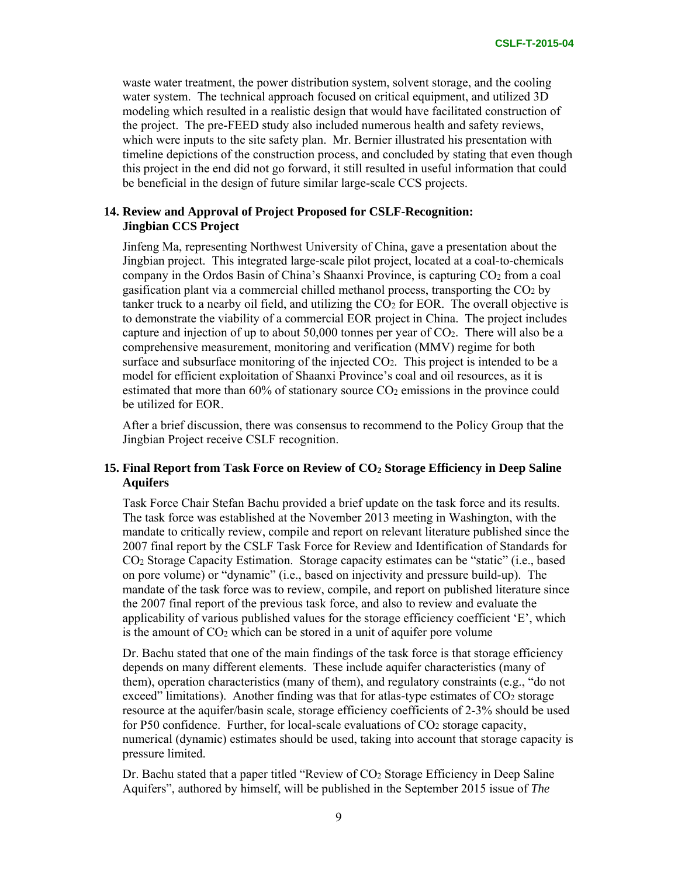waste water treatment, the power distribution system, solvent storage, and the cooling water system. The technical approach focused on critical equipment, and utilized 3D modeling which resulted in a realistic design that would have facilitated construction of the project. The pre-FEED study also included numerous health and safety reviews, which were inputs to the site safety plan. Mr. Bernier illustrated his presentation with timeline depictions of the construction process, and concluded by stating that even though this project in the end did not go forward, it still resulted in useful information that could be beneficial in the design of future similar large-scale CCS projects.

### **14. Review and Approval of Project Proposed for CSLF-Recognition: Jingbian CCS Project**

Jinfeng Ma, representing Northwest University of China, gave a presentation about the Jingbian project. This integrated large-scale pilot project, located at a coal-to-chemicals company in the Ordos Basin of China's Shaanxi Province, is capturing CO2 from a coal gasification plant via a commercial chilled methanol process, transporting the  $CO<sub>2</sub>$  by tanker truck to a nearby oil field, and utilizing the  $CO<sub>2</sub>$  for EOR. The overall objective is to demonstrate the viability of a commercial EOR project in China. The project includes capture and injection of up to about 50,000 tonnes per year of CO2. There will also be a comprehensive measurement, monitoring and verification (MMV) regime for both surface and subsurface monitoring of the injected  $CO<sub>2</sub>$ . This project is intended to be a model for efficient exploitation of Shaanxi Province's coal and oil resources, as it is estimated that more than  $60\%$  of stationary source  $CO<sub>2</sub>$  emissions in the province could be utilized for EOR.

After a brief discussion, there was consensus to recommend to the Policy Group that the Jingbian Project receive CSLF recognition.

# 15. Final Report from Task Force on Review of CO<sub>2</sub> Storage Efficiency in Deep Saline **Aquifers**

Task Force Chair Stefan Bachu provided a brief update on the task force and its results. The task force was established at the November 2013 meeting in Washington, with the mandate to critically review, compile and report on relevant literature published since the 2007 final report by the CSLF Task Force for Review and Identification of Standards for CO2 Storage Capacity Estimation. Storage capacity estimates can be "static" (i.e., based on pore volume) or "dynamic" (i.e., based on injectivity and pressure build-up). The mandate of the task force was to review, compile, and report on published literature since the 2007 final report of the previous task force, and also to review and evaluate the applicability of various published values for the storage efficiency coefficient 'E', which is the amount of  $CO<sub>2</sub>$  which can be stored in a unit of aquifer pore volume

Dr. Bachu stated that one of the main findings of the task force is that storage efficiency depends on many different elements. These include aquifer characteristics (many of them), operation characteristics (many of them), and regulatory constraints (e.g., "do not exceed" limitations). Another finding was that for atlas-type estimates of  $CO<sub>2</sub>$  storage resource at the aquifer/basin scale, storage efficiency coefficients of 2-3% should be used for P50 confidence. Further, for local-scale evaluations of  $CO<sub>2</sub>$  storage capacity, numerical (dynamic) estimates should be used, taking into account that storage capacity is pressure limited.

Dr. Bachu stated that a paper titled "Review of CO2 Storage Efficiency in Deep Saline Aquifers", authored by himself, will be published in the September 2015 issue of *The*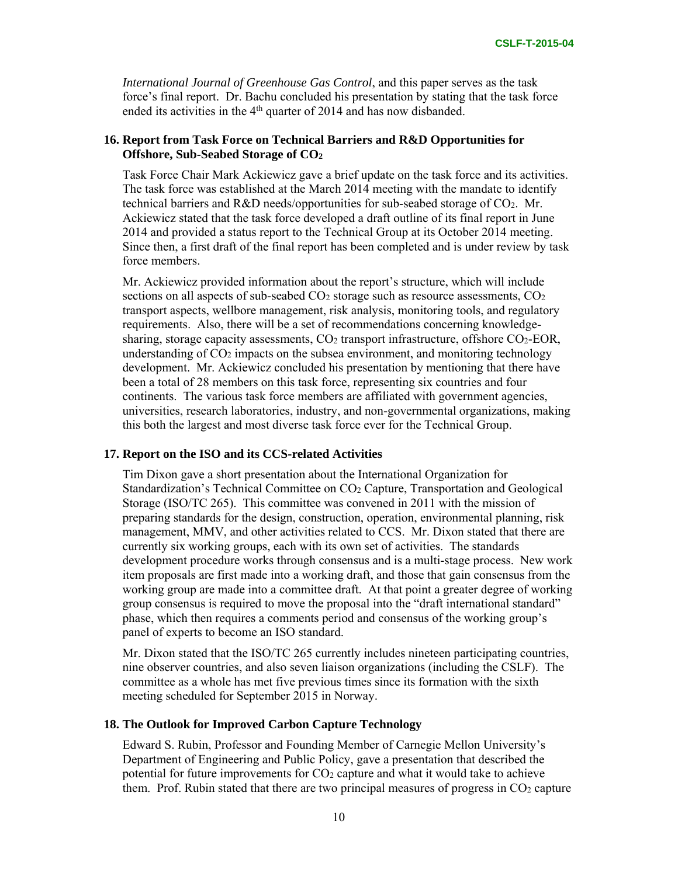*International Journal of Greenhouse Gas Control*, and this paper serves as the task force's final report. Dr. Bachu concluded his presentation by stating that the task force ended its activities in the 4<sup>th</sup> quarter of 2014 and has now disbanded.

# **16. Report from Task Force on Technical Barriers and R&D Opportunities for Offshore, Sub-Seabed Storage of CO2**

Task Force Chair Mark Ackiewicz gave a brief update on the task force and its activities. The task force was established at the March 2014 meeting with the mandate to identify technical barriers and R&D needs/opportunities for sub-seabed storage of CO2. Mr. Ackiewicz stated that the task force developed a draft outline of its final report in June 2014 and provided a status report to the Technical Group at its October 2014 meeting. Since then, a first draft of the final report has been completed and is under review by task force members.

Mr. Ackiewicz provided information about the report's structure, which will include sections on all aspects of sub-seabed  $CO<sub>2</sub>$  storage such as resource assessments,  $CO<sub>2</sub>$ transport aspects, wellbore management, risk analysis, monitoring tools, and regulatory requirements. Also, there will be a set of recommendations concerning knowledgesharing, storage capacity assessments, CO2 transport infrastructure, offshore CO2-EOR, understanding of  $CO<sub>2</sub>$  impacts on the subsea environment, and monitoring technology development. Mr. Ackiewicz concluded his presentation by mentioning that there have been a total of 28 members on this task force, representing six countries and four continents. The various task force members are affiliated with government agencies, universities, research laboratories, industry, and non-governmental organizations, making this both the largest and most diverse task force ever for the Technical Group.

### **17. Report on the ISO and its CCS-related Activities**

Tim Dixon gave a short presentation about the International Organization for Standardization's Technical Committee on CO2 Capture, Transportation and Geological Storage (ISO/TC 265). This committee was convened in 2011 with the mission of preparing standards for the design, construction, operation, environmental planning, risk management, MMV, and other activities related to CCS. Mr. Dixon stated that there are currently six working groups, each with its own set of activities. The standards development procedure works through consensus and is a multi-stage process. New work item proposals are first made into a working draft, and those that gain consensus from the working group are made into a committee draft. At that point a greater degree of working group consensus is required to move the proposal into the "draft international standard" phase, which then requires a comments period and consensus of the working group's panel of experts to become an ISO standard.

Mr. Dixon stated that the ISO/TC 265 currently includes nineteen participating countries, nine observer countries, and also seven liaison organizations (including the CSLF). The committee as a whole has met five previous times since its formation with the sixth meeting scheduled for September 2015 in Norway.

### **18. The Outlook for Improved Carbon Capture Technology**

Edward S. Rubin, Professor and Founding Member of Carnegie Mellon University's Department of Engineering and Public Policy, gave a presentation that described the potential for future improvements for CO2 capture and what it would take to achieve them. Prof. Rubin stated that there are two principal measures of progress in  $CO<sub>2</sub>$  capture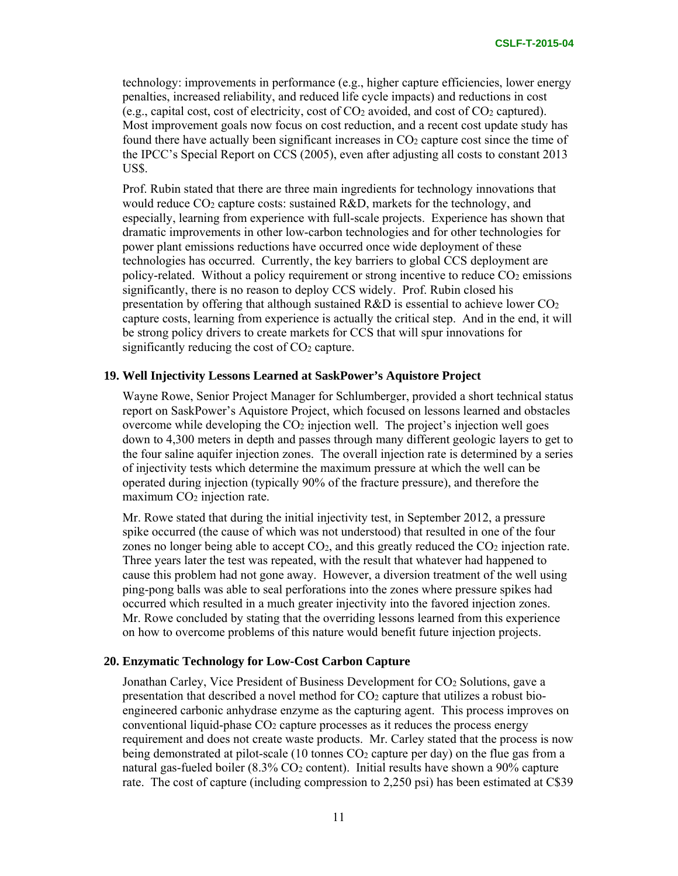technology: improvements in performance (e.g., higher capture efficiencies, lower energy penalties, increased reliability, and reduced life cycle impacts) and reductions in cost (e.g., capital cost, cost of electricity, cost of CO2 avoided, and cost of CO2 captured). Most improvement goals now focus on cost reduction, and a recent cost update study has found there have actually been significant increases in  $CO<sub>2</sub>$  capture cost since the time of the IPCC's Special Report on CCS (2005), even after adjusting all costs to constant 2013 US\$.

Prof. Rubin stated that there are three main ingredients for technology innovations that would reduce  $CO<sub>2</sub>$  capture costs: sustained  $R&D$ , markets for the technology, and especially, learning from experience with full-scale projects. Experience has shown that dramatic improvements in other low-carbon technologies and for other technologies for power plant emissions reductions have occurred once wide deployment of these technologies has occurred. Currently, the key barriers to global CCS deployment are policy-related. Without a policy requirement or strong incentive to reduce  $CO<sub>2</sub>$  emissions significantly, there is no reason to deploy CCS widely. Prof. Rubin closed his presentation by offering that although sustained  $R&D$  is essential to achieve lower  $CO<sub>2</sub>$ capture costs, learning from experience is actually the critical step. And in the end, it will be strong policy drivers to create markets for CCS that will spur innovations for significantly reducing the cost of CO<sub>2</sub> capture.

### **19. Well Injectivity Lessons Learned at SaskPower's Aquistore Project**

Wayne Rowe, Senior Project Manager for Schlumberger, provided a short technical status report on SaskPower's Aquistore Project, which focused on lessons learned and obstacles overcome while developing the  $CO<sub>2</sub>$  injection well. The project's injection well goes down to 4,300 meters in depth and passes through many different geologic layers to get to the four saline aquifer injection zones. The overall injection rate is determined by a series of injectivity tests which determine the maximum pressure at which the well can be operated during injection (typically 90% of the fracture pressure), and therefore the maximum CO<sub>2</sub> injection rate.

Mr. Rowe stated that during the initial injectivity test, in September 2012, a pressure spike occurred (the cause of which was not understood) that resulted in one of the four zones no longer being able to accept  $CO<sub>2</sub>$ , and this greatly reduced the  $CO<sub>2</sub>$  injection rate. Three years later the test was repeated, with the result that whatever had happened to cause this problem had not gone away. However, a diversion treatment of the well using ping-pong balls was able to seal perforations into the zones where pressure spikes had occurred which resulted in a much greater injectivity into the favored injection zones. Mr. Rowe concluded by stating that the overriding lessons learned from this experience on how to overcome problems of this nature would benefit future injection projects.

### **20. Enzymatic Technology for Low-Cost Carbon Capture**

Jonathan Carley, Vice President of Business Development for CO2 Solutions, gave a presentation that described a novel method for  $CO<sub>2</sub>$  capture that utilizes a robust bioengineered carbonic anhydrase enzyme as the capturing agent. This process improves on conventional liquid-phase  $CO<sub>2</sub>$  capture processes as it reduces the process energy requirement and does not create waste products. Mr. Carley stated that the process is now being demonstrated at pilot-scale (10 tonnes CO<sub>2</sub> capture per day) on the flue gas from a natural gas-fueled boiler (8.3% CO2 content). Initial results have shown a 90% capture rate. The cost of capture (including compression to 2,250 psi) has been estimated at C\$39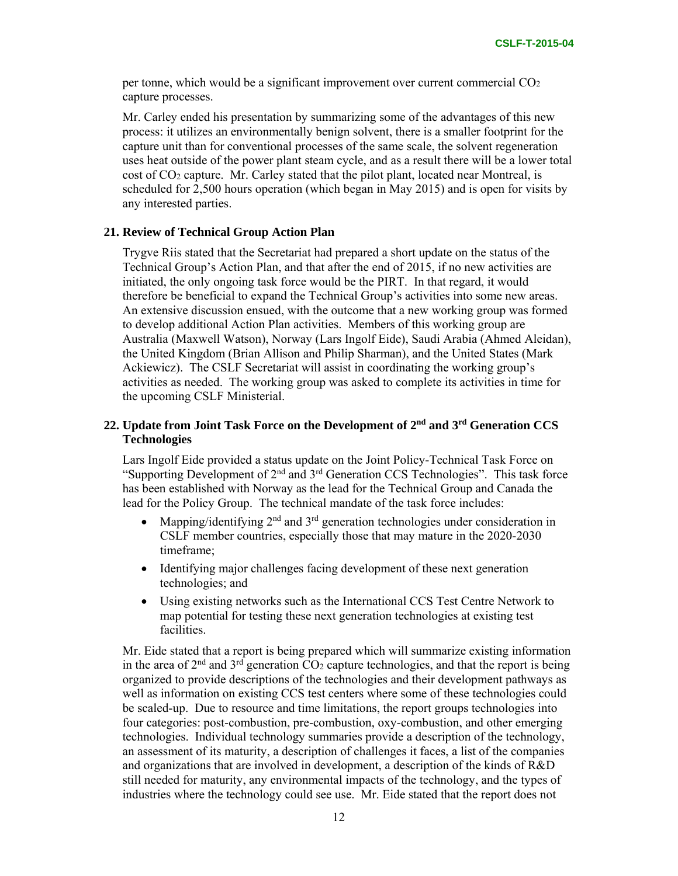per tonne, which would be a significant improvement over current commercial  $CO<sub>2</sub>$ capture processes.

Mr. Carley ended his presentation by summarizing some of the advantages of this new process: it utilizes an environmentally benign solvent, there is a smaller footprint for the capture unit than for conventional processes of the same scale, the solvent regeneration uses heat outside of the power plant steam cycle, and as a result there will be a lower total cost of CO2 capture. Mr. Carley stated that the pilot plant, located near Montreal, is scheduled for 2,500 hours operation (which began in May 2015) and is open for visits by any interested parties.

### **21. Review of Technical Group Action Plan**

Trygve Riis stated that the Secretariat had prepared a short update on the status of the Technical Group's Action Plan, and that after the end of 2015, if no new activities are initiated, the only ongoing task force would be the PIRT. In that regard, it would therefore be beneficial to expand the Technical Group's activities into some new areas. An extensive discussion ensued, with the outcome that a new working group was formed to develop additional Action Plan activities. Members of this working group are Australia (Maxwell Watson), Norway (Lars Ingolf Eide), Saudi Arabia (Ahmed Aleidan), the United Kingdom (Brian Allison and Philip Sharman), and the United States (Mark Ackiewicz). The CSLF Secretariat will assist in coordinating the working group's activities as needed. The working group was asked to complete its activities in time for the upcoming CSLF Ministerial.

# **22. Update from Joint Task Force on the Development of 2nd and 3rd Generation CCS Technologies**

Lars Ingolf Eide provided a status update on the Joint Policy-Technical Task Force on "Supporting Development of 2nd and 3rd Generation CCS Technologies". This task force has been established with Norway as the lead for the Technical Group and Canada the lead for the Policy Group. The technical mandate of the task force includes:

- Mapping/identifying  $2<sup>nd</sup>$  and  $3<sup>rd</sup>$  generation technologies under consideration in CSLF member countries, especially those that may mature in the 2020-2030 timeframe;
- Identifying major challenges facing development of these next generation technologies; and
- Using existing networks such as the International CCS Test Centre Network to map potential for testing these next generation technologies at existing test facilities.

Mr. Eide stated that a report is being prepared which will summarize existing information in the area of  $2<sup>nd</sup>$  and  $3<sup>rd</sup>$  generation  $CO<sub>2</sub>$  capture technologies, and that the report is being organized to provide descriptions of the technologies and their development pathways as well as information on existing CCS test centers where some of these technologies could be scaled-up. Due to resource and time limitations, the report groups technologies into four categories: post-combustion, pre-combustion, oxy-combustion, and other emerging technologies. Individual technology summaries provide a description of the technology, an assessment of its maturity, a description of challenges it faces, a list of the companies and organizations that are involved in development, a description of the kinds of R&D still needed for maturity, any environmental impacts of the technology, and the types of industries where the technology could see use. Mr. Eide stated that the report does not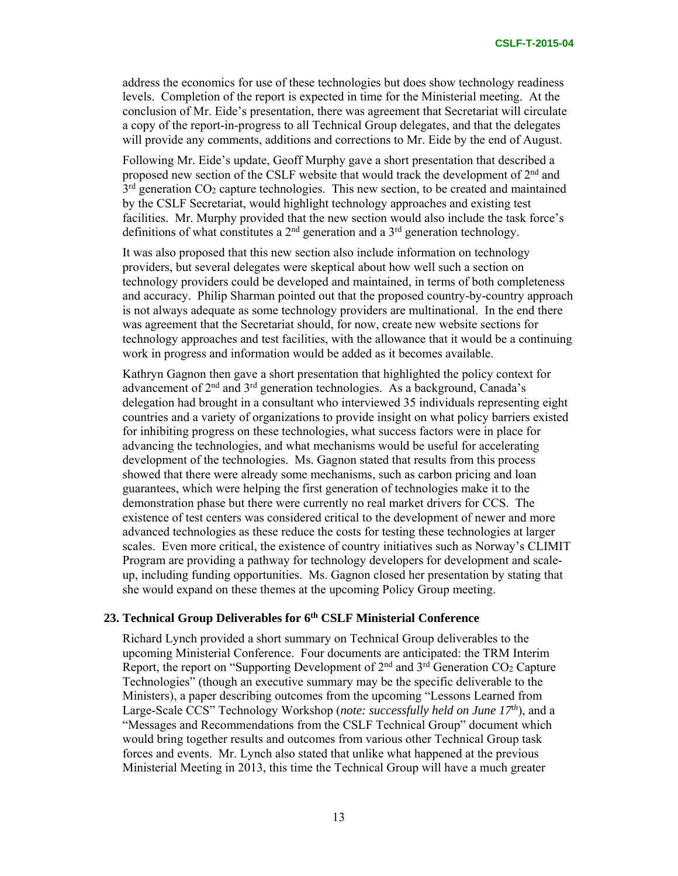address the economics for use of these technologies but does show technology readiness levels. Completion of the report is expected in time for the Ministerial meeting. At the conclusion of Mr. Eide's presentation, there was agreement that Secretariat will circulate a copy of the report-in-progress to all Technical Group delegates, and that the delegates will provide any comments, additions and corrections to Mr. Eide by the end of August.

Following Mr. Eide's update, Geoff Murphy gave a short presentation that described a proposed new section of the CSLF website that would track the development of 2nd and  $3<sup>rd</sup>$  generation CO<sub>2</sub> capture technologies. This new section, to be created and maintained by the CSLF Secretariat, would highlight technology approaches and existing test facilities. Mr. Murphy provided that the new section would also include the task force's definitions of what constitutes a  $2<sup>nd</sup>$  generation and a  $3<sup>rd</sup>$  generation technology.

It was also proposed that this new section also include information on technology providers, but several delegates were skeptical about how well such a section on technology providers could be developed and maintained, in terms of both completeness and accuracy. Philip Sharman pointed out that the proposed country-by-country approach is not always adequate as some technology providers are multinational. In the end there was agreement that the Secretariat should, for now, create new website sections for technology approaches and test facilities, with the allowance that it would be a continuing work in progress and information would be added as it becomes available.

Kathryn Gagnon then gave a short presentation that highlighted the policy context for advancement of 2nd and 3rd generation technologies. As a background, Canada's delegation had brought in a consultant who interviewed 35 individuals representing eight countries and a variety of organizations to provide insight on what policy barriers existed for inhibiting progress on these technologies, what success factors were in place for advancing the technologies, and what mechanisms would be useful for accelerating development of the technologies. Ms. Gagnon stated that results from this process showed that there were already some mechanisms, such as carbon pricing and loan guarantees, which were helping the first generation of technologies make it to the demonstration phase but there were currently no real market drivers for CCS. The existence of test centers was considered critical to the development of newer and more advanced technologies as these reduce the costs for testing these technologies at larger scales. Even more critical, the existence of country initiatives such as Norway's CLIMIT Program are providing a pathway for technology developers for development and scaleup, including funding opportunities. Ms. Gagnon closed her presentation by stating that she would expand on these themes at the upcoming Policy Group meeting.

### **23. Technical Group Deliverables for 6th CSLF Ministerial Conference**

Richard Lynch provided a short summary on Technical Group deliverables to the upcoming Ministerial Conference. Four documents are anticipated: the TRM Interim Report, the report on "Supporting Development of 2<sup>nd</sup> and 3<sup>rd</sup> Generation CO<sub>2</sub> Capture Technologies" (though an executive summary may be the specific deliverable to the Ministers), a paper describing outcomes from the upcoming "Lessons Learned from Large-Scale CCS" Technology Workshop (*note: successfully held on June 17th*), and a "Messages and Recommendations from the CSLF Technical Group" document which would bring together results and outcomes from various other Technical Group task forces and events. Mr. Lynch also stated that unlike what happened at the previous Ministerial Meeting in 2013, this time the Technical Group will have a much greater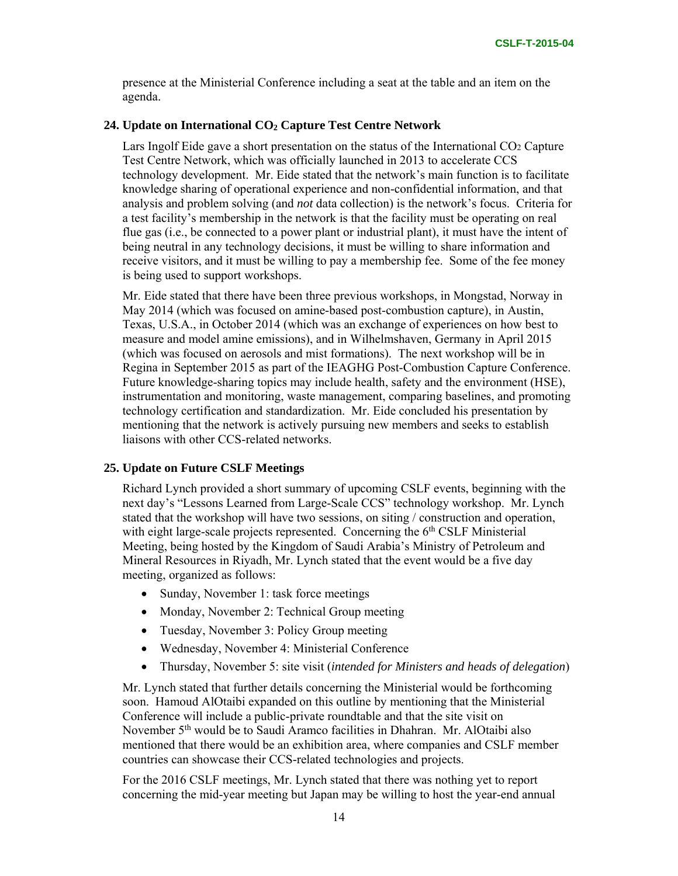presence at the Ministerial Conference including a seat at the table and an item on the agenda.

### **24. Update on International CO2 Capture Test Centre Network**

Lars Ingolf Eide gave a short presentation on the status of the International CO2 Capture Test Centre Network, which was officially launched in 2013 to accelerate CCS technology development. Mr. Eide stated that the network's main function is to facilitate knowledge sharing of operational experience and non-confidential information, and that analysis and problem solving (and *not* data collection) is the network's focus. Criteria for a test facility's membership in the network is that the facility must be operating on real flue gas (i.e., be connected to a power plant or industrial plant), it must have the intent of being neutral in any technology decisions, it must be willing to share information and receive visitors, and it must be willing to pay a membership fee. Some of the fee money is being used to support workshops.

Mr. Eide stated that there have been three previous workshops, in Mongstad, Norway in May 2014 (which was focused on amine-based post-combustion capture), in Austin, Texas, U.S.A., in October 2014 (which was an exchange of experiences on how best to measure and model amine emissions), and in Wilhelmshaven, Germany in April 2015 (which was focused on aerosols and mist formations). The next workshop will be in Regina in September 2015 as part of the IEAGHG Post-Combustion Capture Conference. Future knowledge-sharing topics may include health, safety and the environment (HSE), instrumentation and monitoring, waste management, comparing baselines, and promoting technology certification and standardization. Mr. Eide concluded his presentation by mentioning that the network is actively pursuing new members and seeks to establish liaisons with other CCS-related networks.

### **25. Update on Future CSLF Meetings**

Richard Lynch provided a short summary of upcoming CSLF events, beginning with the next day's "Lessons Learned from Large-Scale CCS" technology workshop. Mr. Lynch stated that the workshop will have two sessions, on siting / construction and operation, with eight large-scale projects represented. Concerning the  $6<sup>th</sup>$  CSLF Ministerial Meeting, being hosted by the Kingdom of Saudi Arabia's Ministry of Petroleum and Mineral Resources in Riyadh, Mr. Lynch stated that the event would be a five day meeting, organized as follows:

- Sunday, November 1: task force meetings
- Monday, November 2: Technical Group meeting
- Tuesday, November 3: Policy Group meeting
- Wednesday, November 4: Ministerial Conference
- Thursday, November 5: site visit (*intended for Ministers and heads of delegation*)

Mr. Lynch stated that further details concerning the Ministerial would be forthcoming soon. Hamoud AlOtaibi expanded on this outline by mentioning that the Ministerial Conference will include a public-private roundtable and that the site visit on November 5th would be to Saudi Aramco facilities in Dhahran. Mr. AlOtaibi also mentioned that there would be an exhibition area, where companies and CSLF member countries can showcase their CCS-related technologies and projects.

For the 2016 CSLF meetings, Mr. Lynch stated that there was nothing yet to report concerning the mid-year meeting but Japan may be willing to host the year-end annual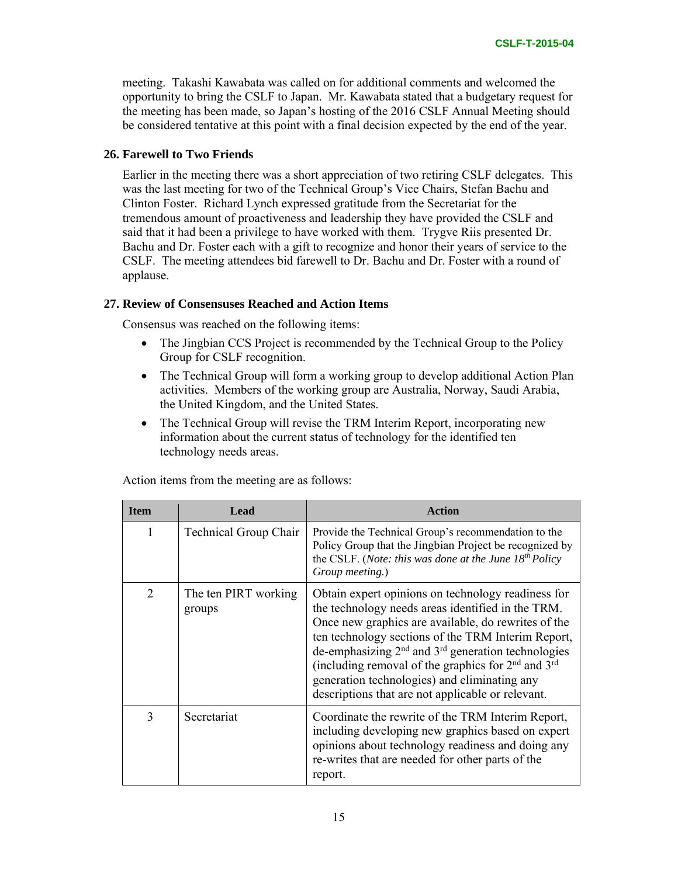meeting. Takashi Kawabata was called on for additional comments and welcomed the opportunity to bring the CSLF to Japan. Mr. Kawabata stated that a budgetary request for the meeting has been made, so Japan's hosting of the 2016 CSLF Annual Meeting should be considered tentative at this point with a final decision expected by the end of the year.

### **26. Farewell to Two Friends**

Earlier in the meeting there was a short appreciation of two retiring CSLF delegates. This was the last meeting for two of the Technical Group's Vice Chairs, Stefan Bachu and Clinton Foster. Richard Lynch expressed gratitude from the Secretariat for the tremendous amount of proactiveness and leadership they have provided the CSLF and said that it had been a privilege to have worked with them. Trygve Riis presented Dr. Bachu and Dr. Foster each with a gift to recognize and honor their years of service to the CSLF. The meeting attendees bid farewell to Dr. Bachu and Dr. Foster with a round of applause.

# **27. Review of Consensuses Reached and Action Items**

Consensus was reached on the following items:

- The Jingbian CCS Project is recommended by the Technical Group to the Policy Group for CSLF recognition.
- The Technical Group will form a working group to develop additional Action Plan activities. Members of the working group are Australia, Norway, Saudi Arabia, the United Kingdom, and the United States.
- The Technical Group will revise the TRM Interim Report, incorporating new information about the current status of technology for the identified ten technology needs areas.

| <b>Item</b>    | Lead                           | Action                                                                                                                                                                                                                                                                                                                                                                                                                                        |
|----------------|--------------------------------|-----------------------------------------------------------------------------------------------------------------------------------------------------------------------------------------------------------------------------------------------------------------------------------------------------------------------------------------------------------------------------------------------------------------------------------------------|
| 1              | <b>Technical Group Chair</b>   | Provide the Technical Group's recommendation to the<br>Policy Group that the Jingbian Project be recognized by<br>the CSLF. (Note: this was done at the June $18^{th}$ Policy<br>Group meeting.)                                                                                                                                                                                                                                              |
| $\overline{2}$ | The ten PIRT working<br>groups | Obtain expert opinions on technology readiness for<br>the technology needs areas identified in the TRM.<br>Once new graphics are available, do rewrites of the<br>ten technology sections of the TRM Interim Report,<br>de-emphasizing $2nd$ and $3rd$ generation technologies<br>(including removal of the graphics for $2nd$ and $3rd$<br>generation technologies) and eliminating any<br>descriptions that are not applicable or relevant. |
| 3              | Secretariat                    | Coordinate the rewrite of the TRM Interim Report,<br>including developing new graphics based on expert<br>opinions about technology readiness and doing any<br>re-writes that are needed for other parts of the<br>report.                                                                                                                                                                                                                    |

Action items from the meeting are as follows: